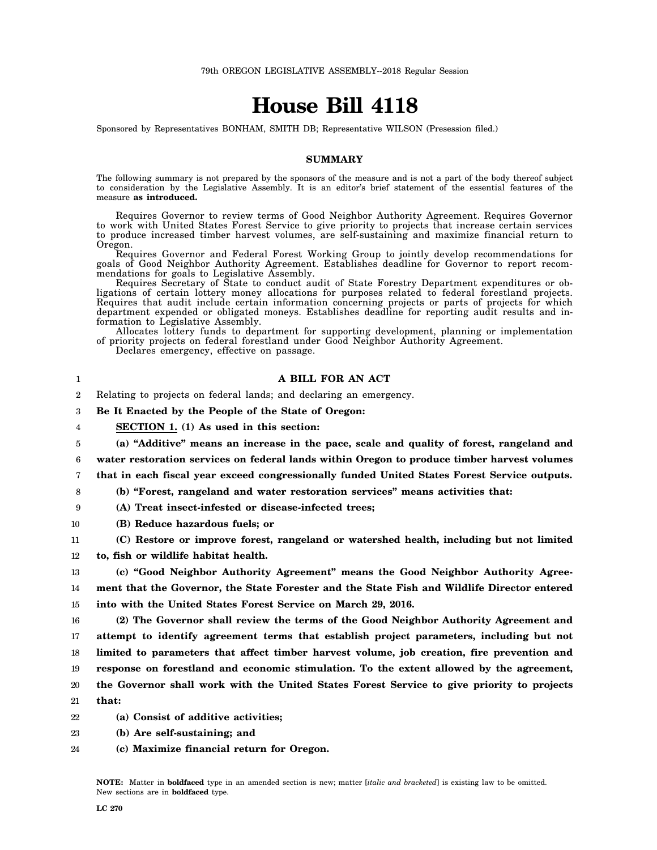## **House Bill 4118**

Sponsored by Representatives BONHAM, SMITH DB; Representative WILSON (Presession filed.)

## **SUMMARY**

The following summary is not prepared by the sponsors of the measure and is not a part of the body thereof subject to consideration by the Legislative Assembly. It is an editor's brief statement of the essential features of the measure **as introduced.**

Requires Governor to review terms of Good Neighbor Authority Agreement. Requires Governor to work with United States Forest Service to give priority to projects that increase certain services to produce increased timber harvest volumes, are self-sustaining and maximize financial return to Oregon.

Requires Governor and Federal Forest Working Group to jointly develop recommendations for goals of Good Neighbor Authority Agreement. Establishes deadline for Governor to report recommendations for goals to Legislative Assembly.

Requires Secretary of State to conduct audit of State Forestry Department expenditures or obligations of certain lottery money allocations for purposes related to federal forestland projects. Requires that audit include certain information concerning projects or parts of projects for which department expended or obligated moneys. Establishes deadline for reporting audit results and information to Legislative Assembly.

Allocates lottery funds to department for supporting development, planning or implementation of priority projects on federal forestland under Good Neighbor Authority Agreement.

Declares emergency, effective on passage.

## **A BILL FOR AN ACT**

 $\mathfrak{D}$ Relating to projects on federal lands; and declaring an emergency.

3 **Be It Enacted by the People of the State of Oregon:**

4 **SECTION 1. (1) As used in this section:**

5 **(a) "Additive" means an increase in the pace, scale and quality of forest, rangeland and**

6 **water restoration services on federal lands within Oregon to produce timber harvest volumes**

7 **that in each fiscal year exceed congressionally funded United States Forest Service outputs.**

8 **(b) "Forest, rangeland and water restoration services" means activities that:**

9 **(A) Treat insect-infested or disease-infected trees;**

- 10 **(B) Reduce hazardous fuels; or**
- 11 **(C) Restore or improve forest, rangeland or watershed health, including but not limited**

12 **to, fish or wildlife habitat health.**

13 14 15 **(c) "Good Neighbor Authority Agreement" means the Good Neighbor Authority Agreement that the Governor, the State Forester and the State Fish and Wildlife Director entered into with the United States Forest Service on March 29, 2016.**

16 17 18 19 20 21 **(2) The Governor shall review the terms of the Good Neighbor Authority Agreement and attempt to identify agreement terms that establish project parameters, including but not limited to parameters that affect timber harvest volume, job creation, fire prevention and response on forestland and economic stimulation. To the extent allowed by the agreement, the Governor shall work with the United States Forest Service to give priority to projects that:**

- 22 **(a) Consist of additive activities;**
- 23 **(b) Are self-sustaining; and**
- 24 **(c) Maximize financial return for Oregon.**

**NOTE:** Matter in **boldfaced** type in an amended section is new; matter [*italic and bracketed*] is existing law to be omitted. New sections are in **boldfaced** type.

1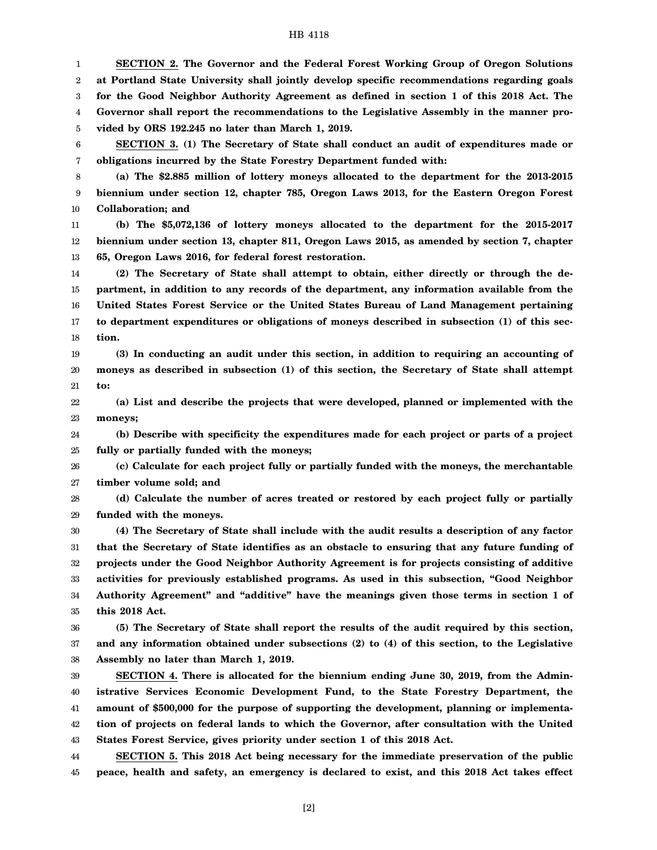## HB 4118

1 2 3 4 5 **SECTION 2. The Governor and the Federal Forest Working Group of Oregon Solutions at Portland State University shall jointly develop specific recommendations regarding goals for the Good Neighbor Authority Agreement as defined in section 1 of this 2018 Act. The Governor shall report the recommendations to the Legislative Assembly in the manner provided by ORS 192.245 no later than March 1, 2019.**

6 7 **SECTION 3. (1) The Secretary of State shall conduct an audit of expenditures made or obligations incurred by the State Forestry Department funded with:**

8 9 10 **(a) The \$2.885 million of lottery moneys allocated to the department for the 2013-2015 biennium under section 12, chapter 785, Oregon Laws 2013, for the Eastern Oregon Forest Collaboration; and**

11 12 13 **(b) The \$5,072,136 of lottery moneys allocated to the department for the 2015-2017 biennium under section 13, chapter 811, Oregon Laws 2015, as amended by section 7, chapter 65, Oregon Laws 2016, for federal forest restoration.**

14 15 16 17 18 **(2) The Secretary of State shall attempt to obtain, either directly or through the department, in addition to any records of the department, any information available from the United States Forest Service or the United States Bureau of Land Management pertaining to department expenditures or obligations of moneys described in subsection (1) of this section.**

19 20 21 **(3) In conducting an audit under this section, in addition to requiring an accounting of moneys as described in subsection (1) of this section, the Secretary of State shall attempt to:**

22 23 **(a) List and describe the projects that were developed, planned or implemented with the moneys;**

24 25 **(b) Describe with specificity the expenditures made for each project or parts of a project fully or partially funded with the moneys;**

26 27 **(c) Calculate for each project fully or partially funded with the moneys, the merchantable timber volume sold; and**

28 29 **(d) Calculate the number of acres treated or restored by each project fully or partially funded with the moneys.**

30 31 32 33 34 35 **(4) The Secretary of State shall include with the audit results a description of any factor that the Secretary of State identifies as an obstacle to ensuring that any future funding of projects under the Good Neighbor Authority Agreement is for projects consisting of additive activities for previously established programs. As used in this subsection, "Good Neighbor Authority Agreement" and "additive" have the meanings given those terms in section 1 of this 2018 Act.**

36 37 38 **(5) The Secretary of State shall report the results of the audit required by this section, and any information obtained under subsections (2) to (4) of this section, to the Legislative Assembly no later than March 1, 2019.**

39 40 41 42 43 **SECTION 4. There is allocated for the biennium ending June 30, 2019, from the Administrative Services Economic Development Fund, to the State Forestry Department, the amount of \$500,000 for the purpose of supporting the development, planning or implementation of projects on federal lands to which the Governor, after consultation with the United States Forest Service, gives priority under section 1 of this 2018 Act.**

44 45 **SECTION 5. This 2018 Act being necessary for the immediate preservation of the public peace, health and safety, an emergency is declared to exist, and this 2018 Act takes effect**

[2]